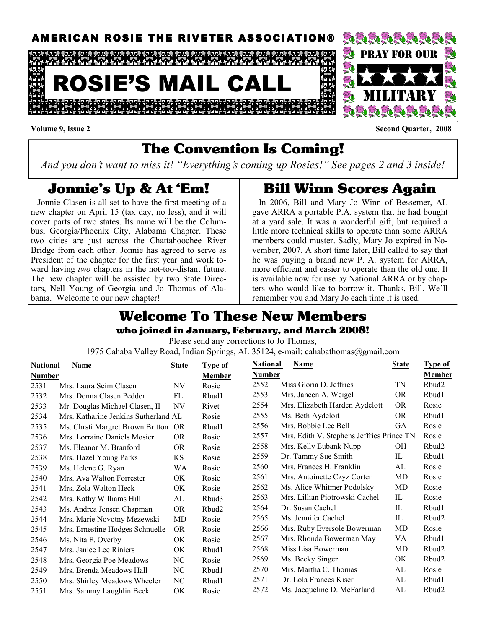

#### Volume 9, Issue 2 Second Quarter, 2008

### The Convention Is Coming!

And you don't want to miss it! "Everything's coming up Rosies!" See pages 2 and 3 inside!

### Jonnie's Up & At 'Em!

 Jonnie Clasen is all set to have the first meeting of a new chapter on April 15 (tax day, no less), and it will cover parts of two states. Its name will be the Columbus, Georgia/Phoenix City, Alabama Chapter. These two cities are just across the Chattahoochee River Bridge from each other. Jonnie has agreed to serve as President of the chapter for the first year and work toward having two chapters in the not-too-distant future. The new chapter will be assisted by two State Directors, Nell Young of Georgia and Jo Thomas of Alabama. Welcome to our new chapter!

## Bill Winn Scores Again

 In 2006, Bill and Mary Jo Winn of Bessemer, AL gave ARRA a portable P.A. system that he had bought at a yard sale. It was a wonderful gift, but required a little more technical skills to operate than some ARRA members could muster. Sadly, Mary Jo expired in November, 2007. A short time later, Bill called to say that he was buying a brand new P. A. system for ARRA, more efficient and easier to operate than the old one. It is available now for use by National ARRA or by chapters who would like to borrow it. Thanks, Bill. We'll remember you and Mary Jo each time it is used.

### Welcome To These New Members who joined in January, February, and March 2008!

Please send any corrections to Jo Thomas,

1975 Cahaba Valley Road, Indian Springs, AL 35124, e-mail: cahabathomas@gmail.com

| <b>Type of</b>    |
|-------------------|
| Member            |
| Rbud <sub>2</sub> |
| Rbud1             |
| Rosie             |
| Rbud1             |
| Rosie             |
| Rosie             |
| Rbud <sub>2</sub> |
| Rbud1             |
| Rosie             |
| Rosie             |
| Rosie             |
| Rosie             |
| Rbud1             |
| Rbud2             |
| Rosie             |
| Rbud1             |
| Rbud2             |
| Rbud <sub>2</sub> |
| Rosie             |
| Rbud1             |
| Rbud2             |
|                   |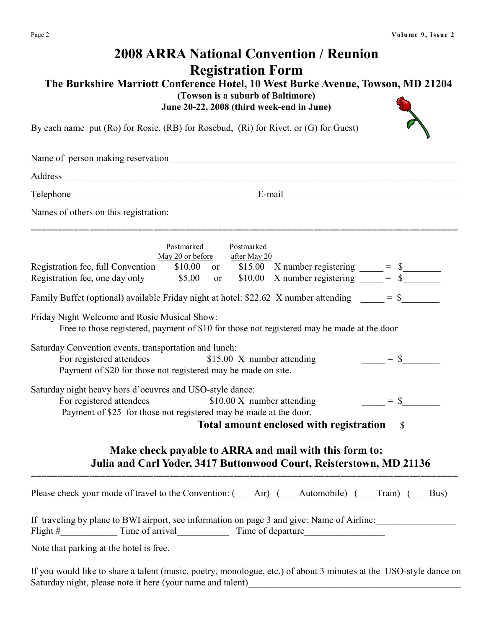| <b>2008 ARRA National Convention / Reunion</b><br><b>Registration Form</b><br>The Burkshire Marriott Conference Hotel, 10 West Burke Avenue, Towson, MD 21204<br>(Towson is a suburb of Baltimore)<br>June 20-22, 2008 (third week-end in June)                                                                                                                                                                                                                                                                                                                                                                                                                                                                                                                                                                                                 |  |  |  |  |  |  |  |  |
|-------------------------------------------------------------------------------------------------------------------------------------------------------------------------------------------------------------------------------------------------------------------------------------------------------------------------------------------------------------------------------------------------------------------------------------------------------------------------------------------------------------------------------------------------------------------------------------------------------------------------------------------------------------------------------------------------------------------------------------------------------------------------------------------------------------------------------------------------|--|--|--|--|--|--|--|--|
| By each name put (Ro) for Rosie, (RB) for Rosebud, (Ri) for Rivet, or (G) for Guest)                                                                                                                                                                                                                                                                                                                                                                                                                                                                                                                                                                                                                                                                                                                                                            |  |  |  |  |  |  |  |  |
| Name of person making reservation<br>Name of person making reservation                                                                                                                                                                                                                                                                                                                                                                                                                                                                                                                                                                                                                                                                                                                                                                          |  |  |  |  |  |  |  |  |
| Address and the contract of the contract of the contract of the contract of the contract of the contract of the contract of the contract of the contract of the contract of the contract of the contract of the contract of th                                                                                                                                                                                                                                                                                                                                                                                                                                                                                                                                                                                                                  |  |  |  |  |  |  |  |  |
|                                                                                                                                                                                                                                                                                                                                                                                                                                                                                                                                                                                                                                                                                                                                                                                                                                                 |  |  |  |  |  |  |  |  |
| Names of others on this registration: 1000 models and the set of others on this registration:                                                                                                                                                                                                                                                                                                                                                                                                                                                                                                                                                                                                                                                                                                                                                   |  |  |  |  |  |  |  |  |
| Postmarked<br>Postmarked<br>May 20 or before after May 20<br>Registration fee, full Convention<br>\$10.00 or \$15.00 X number registering $=$ \$<br>\$5.00 or \$10.00 X number registering $=$ \$<br>Registration fee, one day only \$5.00 or<br>Family Buffet (optional) available Friday night at hotel: \$22.62 X number attending $\qquad \qquad = \qquad$ = \$<br>Friday Night Welcome and Rosie Musical Show:<br>Free to those registered, payment of \$10 for those not registered may be made at the door<br>Saturday Convention events, transportation and lunch:<br>For registered attendees<br>$=$ \$<br>\$15.00 X number attending<br>Payment of \$20 for those not registered may be made on site.<br>Saturday night heavy hors d'oeuvres and USO-style dance:<br>$=$ \$<br>\$10.00 X number attending<br>For registered attendees |  |  |  |  |  |  |  |  |
| Payment of \$25 for those not registered may be made at the door.<br>Total amount enclosed with registration<br>$\mathbb{S}$                                                                                                                                                                                                                                                                                                                                                                                                                                                                                                                                                                                                                                                                                                                    |  |  |  |  |  |  |  |  |
| Make check payable to ARRA and mail with this form to:<br>Julia and Carl Yoder, 3417 Buttonwood Court, Reisterstown, MD 21136                                                                                                                                                                                                                                                                                                                                                                                                                                                                                                                                                                                                                                                                                                                   |  |  |  |  |  |  |  |  |
| Please check your mode of travel to the Convention: ( Air) ( Automobile) ( Train) (<br>Bus)                                                                                                                                                                                                                                                                                                                                                                                                                                                                                                                                                                                                                                                                                                                                                     |  |  |  |  |  |  |  |  |
| If traveling by plane to BWI airport, see information on page 3 and give: Name of Airline:                                                                                                                                                                                                                                                                                                                                                                                                                                                                                                                                                                                                                                                                                                                                                      |  |  |  |  |  |  |  |  |
| Note that parking at the hotel is free.                                                                                                                                                                                                                                                                                                                                                                                                                                                                                                                                                                                                                                                                                                                                                                                                         |  |  |  |  |  |  |  |  |

If you would like to share a talent (music, poetry, monologue, etc.) of about 3 minutes at the USO-style dance on Saturday night, please note it here (your name and talent)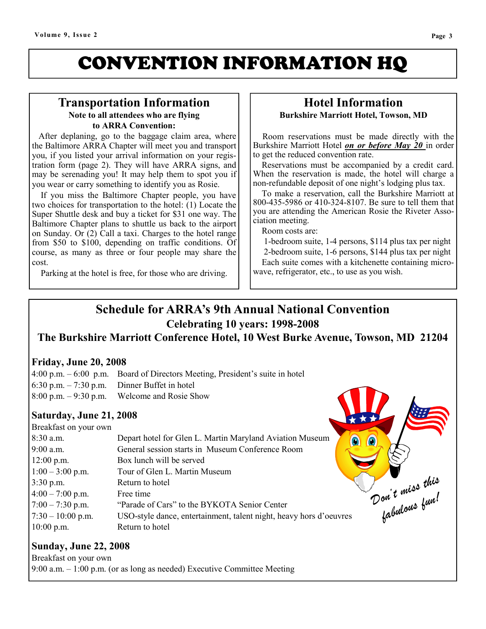# CONVENTION INFORMATION HQ

#### Transportation Information Note to all attendees who are flying to ARRA Convention:

 After deplaning, go to the baggage claim area, where the Baltimore ARRA Chapter will meet you and transport you, if you listed your arrival information on your registration form (page 2). They will have ARRA signs, and may be serenading you! It may help them to spot you if you wear or carry something to identify you as Rosie.

 If you miss the Baltimore Chapter people, you have two choices for transportation to the hotel: (1) Locate the Super Shuttle desk and buy a ticket for \$31 one way. The Baltimore Chapter plans to shuttle us back to the airport on Sunday. Or (2) Call a taxi. Charges to the hotel range from \$50 to \$100, depending on traffic conditions. Of course, as many as three or four people may share the cost.

Parking at the hotel is free, for those who are driving.

#### Hotel Information Burkshire Marriott Hotel, Towson, MD

 Room reservations must be made directly with the Burkshire Marriott Hotel on or before May 20 in order to get the reduced convention rate.

 Reservations must be accompanied by a credit card. When the reservation is made, the hotel will charge a non-refundable deposit of one night's lodging plus tax.

 To make a reservation, call the Burkshire Marriott at 800-435-5986 or 410-324-8107. Be sure to tell them that you are attending the American Rosie the Riveter Association meeting.

Room costs are:

 1-bedroom suite, 1-4 persons, \$114 plus tax per night 2-bedroom suite, 1-6 persons, \$144 plus tax per night Each suite comes with a kitchenette containing microwave, refrigerator, etc., to use as you wish.

### Schedule for ARRA's 9th Annual National Convention Celebrating 10 years: 1998-2008

The Burkshire Marriott Conference Hotel, 10 West Burke Avenue, Towson, MD 21204

#### Friday, June 20, 2008

| $4:00 \text{ p.m.} - 6:00 \text{ p.m.}$ Board of Directors Meeting, President's suite in hotel |  |
|------------------------------------------------------------------------------------------------|--|
| $6:30$ p.m. $-7:30$ p.m. Dinner Buffet in hotel                                                |  |
| $8:00$ p.m. $-9:30$ p.m. Welcome and Rosie Show                                                |  |

#### Saturday, June 21, 2008

| $8:00$ p.m. $-9:30$ p.m. | Welcome and Rosie Show                                             |                               |
|--------------------------|--------------------------------------------------------------------|-------------------------------|
| Saturday, June 21, 2008  |                                                                    |                               |
| Breakfast on your own    |                                                                    |                               |
| 8:30 a.m.                | Depart hotel for Glen L. Martin Maryland Aviation Museum           |                               |
| $9:00$ a.m.              | General session starts in Museum Conference Room                   |                               |
| $12:00$ p.m.             | Box lunch will be served                                           |                               |
| $1:00 - 3:00$ p.m.       | Tour of Glen L. Martin Museum                                      |                               |
| $3:30$ p.m.              | Return to hotel                                                    |                               |
| $4:00 - 7:00$ p.m.       | Free time                                                          |                               |
| $7:00 - 7:30$ p.m.       | "Parade of Cars" to the BYKOTA Senior Center                       |                               |
| $7:30 - 10:00$ p.m.      | USO-style dance, entertainment, talent night, heavy hors d'oeuvres | Don't miss this<br>Labulous , |
| $10:00$ p.m.             | Return to hotel                                                    |                               |

#### Sunday, June 22, 2008

Breakfast on your own 9:00 a.m. – 1:00 p.m. (or as long as needed) Executive Committee Meeting